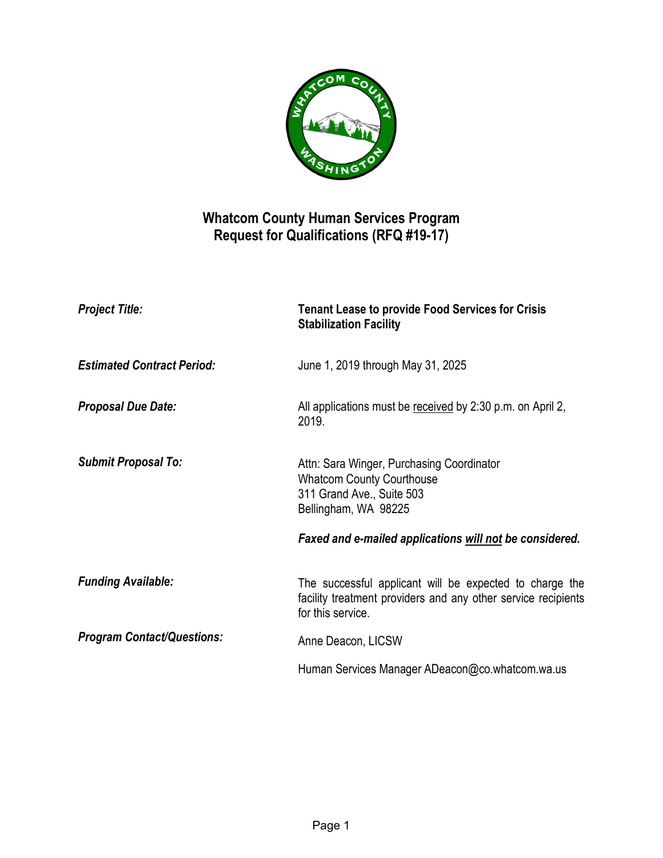

## **Whatcom County Human Services Program Request for Qualifications (RFQ #19-17)**

| <b>Project Title:</b>             | <b>Tenant Lease to provide Food Services for Crisis</b><br><b>Stabilization Facility</b>                                                      |
|-----------------------------------|-----------------------------------------------------------------------------------------------------------------------------------------------|
| <b>Estimated Contract Period:</b> | June 1, 2019 through May 31, 2025                                                                                                             |
| <b>Proposal Due Date:</b>         | All applications must be received by 2:30 p.m. on April 2,<br>2019.                                                                           |
| <b>Submit Proposal To:</b>        | Attn: Sara Winger, Purchasing Coordinator<br><b>Whatcom County Courthouse</b><br>311 Grand Ave., Suite 503<br>Bellingham, WA 98225            |
|                                   | Faxed and e-mailed applications will not be considered.                                                                                       |
| <b>Funding Available:</b>         | The successful applicant will be expected to charge the<br>facility treatment providers and any other service recipients<br>for this service. |
| <b>Program Contact/Questions:</b> | Anne Deacon, LICSW                                                                                                                            |
|                                   | Human Services Manager ADeacon@co.whatcom.wa.us                                                                                               |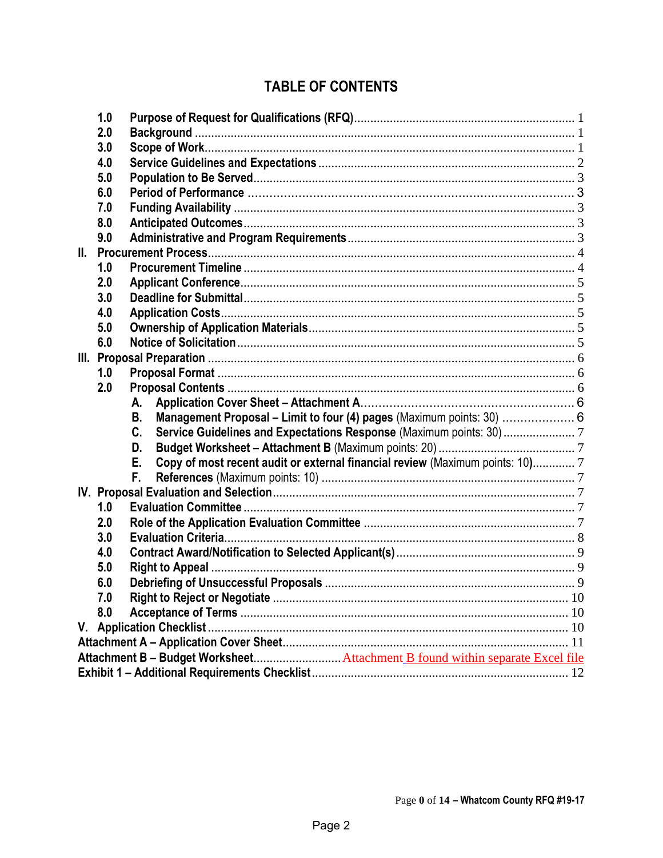# **TABLE OF CONTENTS**

|     | 1.0 |                                                                                     |  |  |
|-----|-----|-------------------------------------------------------------------------------------|--|--|
|     | 2.0 |                                                                                     |  |  |
|     | 3.0 |                                                                                     |  |  |
|     | 4.0 |                                                                                     |  |  |
|     | 5.0 |                                                                                     |  |  |
|     | 6.0 |                                                                                     |  |  |
|     | 7.0 |                                                                                     |  |  |
|     | 8.0 |                                                                                     |  |  |
|     | 9.0 |                                                                                     |  |  |
| II. |     |                                                                                     |  |  |
|     | 1.0 |                                                                                     |  |  |
|     | 2.0 |                                                                                     |  |  |
|     | 3.0 |                                                                                     |  |  |
|     | 4.0 |                                                                                     |  |  |
|     | 5.0 |                                                                                     |  |  |
|     | 6.0 |                                                                                     |  |  |
|     |     |                                                                                     |  |  |
|     | 1.0 |                                                                                     |  |  |
|     | 2.0 |                                                                                     |  |  |
|     |     | А.                                                                                  |  |  |
|     |     | Management Proposal - Limit to four (4) pages (Maximum points: 30)  6<br><b>B.</b>  |  |  |
|     |     | C.                                                                                  |  |  |
|     |     | D.                                                                                  |  |  |
|     |     | Copy of most recent audit or external financial review (Maximum points: 10) 7<br>Е. |  |  |
|     |     | F.                                                                                  |  |  |
|     |     |                                                                                     |  |  |
|     | 1.0 |                                                                                     |  |  |
|     | 2.0 |                                                                                     |  |  |
|     | 3.0 |                                                                                     |  |  |
|     | 4.0 |                                                                                     |  |  |
|     | 5.0 |                                                                                     |  |  |
|     | 6.0 |                                                                                     |  |  |
|     | 7.0 |                                                                                     |  |  |
|     | 8.0 |                                                                                     |  |  |
|     |     |                                                                                     |  |  |
|     |     |                                                                                     |  |  |
|     |     | Attachment B - Budget Worksheet Attachment B found within separate Excel file       |  |  |
|     |     |                                                                                     |  |  |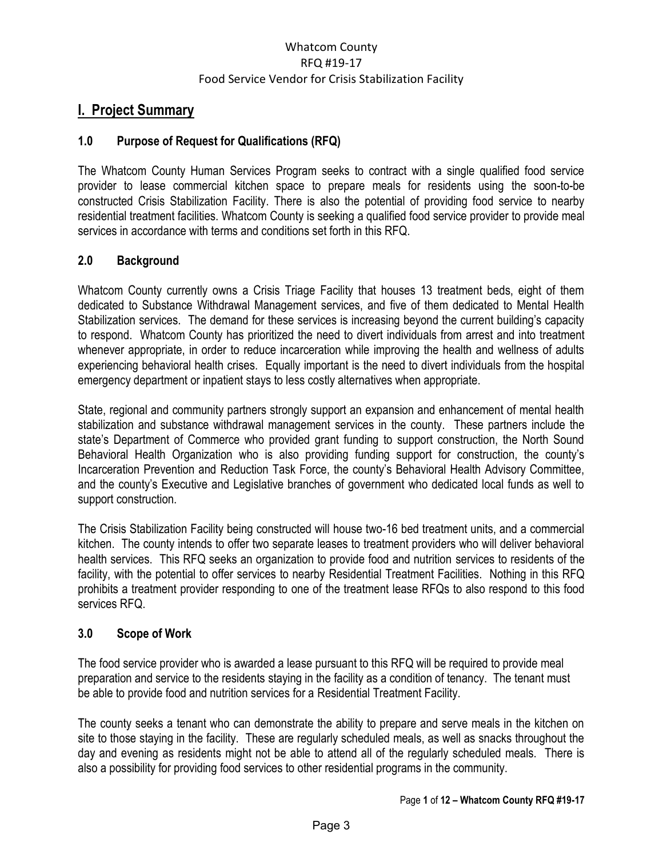### **I. Project Summary**

### <span id="page-2-0"></span>**1.0 Purpose of Request for Qualifications (RFQ)**

The Whatcom County Human Services Program seeks to contract with a single qualified food service provider to lease commercial kitchen space to prepare meals for residents using the soon-to-be constructed Crisis Stabilization Facility. There is also the potential of providing food service to nearby residential treatment facilities. Whatcom County is seeking a qualified food service provider to provide meal services in accordance with terms and conditions set forth in this RFQ.

### <span id="page-2-1"></span>**2.0 Background**

Whatcom County currently owns a Crisis Triage Facility that houses 13 treatment beds, eight of them dedicated to Substance Withdrawal Management services, and five of them dedicated to Mental Health Stabilization services. The demand for these services is increasing beyond the current building's capacity to respond. Whatcom County has prioritized the need to divert individuals from arrest and into treatment whenever appropriate, in order to reduce incarceration while improving the health and wellness of adults experiencing behavioral health crises. Equally important is the need to divert individuals from the hospital emergency department or inpatient stays to less costly alternatives when appropriate.

State, regional and community partners strongly support an expansion and enhancement of mental health stabilization and substance withdrawal management services in the county. These partners include the state's Department of Commerce who provided grant funding to support construction, the North Sound Behavioral Health Organization who is also providing funding support for construction, the county's Incarceration Prevention and Reduction Task Force, the county's Behavioral Health Advisory Committee, and the county's Executive and Legislative branches of government who dedicated local funds as well to support construction.

The Crisis Stabilization Facility being constructed will house two-16 bed treatment units, and a commercial kitchen. The county intends to offer two separate leases to treatment providers who will deliver behavioral health services. This RFQ seeks an organization to provide food and nutrition services to residents of the facility, with the potential to offer services to nearby Residential Treatment Facilities. Nothing in this RFQ prohibits a treatment provider responding to one of the treatment lease RFQs to also respond to this food services RFQ.

### <span id="page-2-2"></span>**3.0 Scope of Work**

The food service provider who is awarded a lease pursuant to this RFQ will be required to provide meal preparation and service to the residents staying in the facility as a condition of tenancy. The tenant must be able to provide food and nutrition services for a Residential Treatment Facility.

The county seeks a tenant who can demonstrate the ability to prepare and serve meals in the kitchen on site to those staying in the facility. These are regularly scheduled meals, as well as snacks throughout the day and evening as residents might not be able to attend all of the regularly scheduled meals. There is also a possibility for providing food services to other residential programs in the community.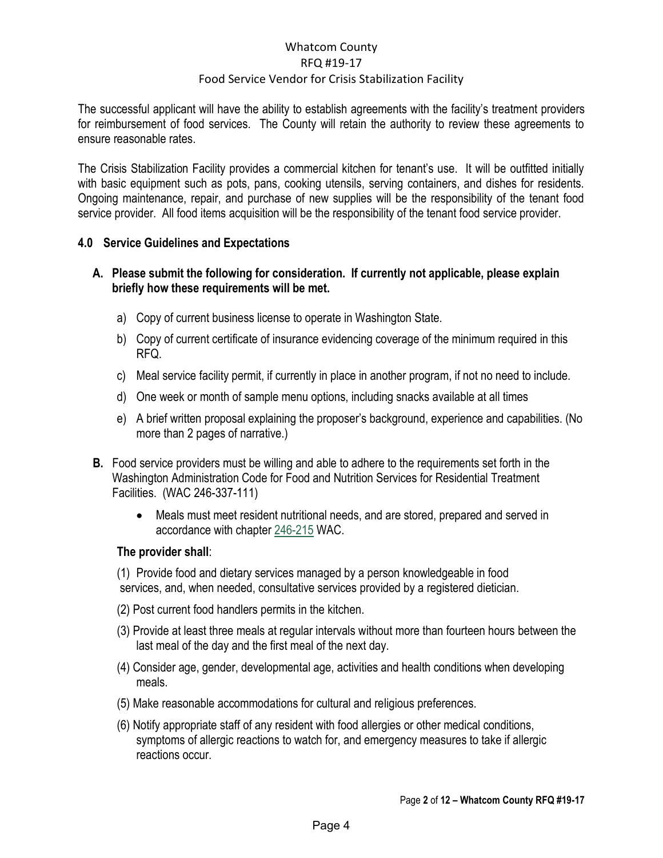#### The successful applicant will have the ability to establish agreements with the facility's treatment providers for reimbursement of food services. The County will retain the authority to review these agreements to ensure reasonable rates.

The Crisis Stabilization Facility provides a commercial kitchen for tenant's use. It will be outfitted initially with basic equipment such as pots, pans, cooking utensils, serving containers, and dishes for residents. Ongoing maintenance, repair, and purchase of new supplies will be the responsibility of the tenant food service provider. All food items acquisition will be the responsibility of the tenant food service provider.

### <span id="page-3-0"></span>**4.0 Service Guidelines and Expectations**

### **A. Please submit the following for consideration. If currently not applicable, please explain briefly how these requirements will be met.**

- a) Copy of current business license to operate in Washington State.
- b) Copy of current certificate of insurance evidencing coverage of the minimum required in this RFQ.
- c) Meal service facility permit, if currently in place in another program, if not no need to include.
- d) One week or month of sample menu options, including snacks available at all times
- e) A brief written proposal explaining the proposer's background, experience and capabilities. (No more than 2 pages of narrative.)
- **B.** Food service providers must be willing and able to adhere to the requirements set forth in the Washington Administration Code for Food and Nutrition Services for Residential Treatment Facilities. (WAC 246-337-111)
	- Meals must meet resident nutritional needs, and are stored, prepared and served in accordance with chapter [246-215](https://apps.leg.wa.gov/WAC/default.aspx?cite=246-215) WAC.

### **The provider shall**:

(1) Provide food and dietary services managed by a person knowledgeable in food services, and, when needed, consultative services provided by a registered dietician.

- (2) Post current food handlers permits in the kitchen.
- (3) Provide at least three meals at regular intervals without more than fourteen hours between the last meal of the day and the first meal of the next day.
- (4) Consider age, gender, developmental age, activities and health conditions when developing meals.
- (5) Make reasonable accommodations for cultural and religious preferences.
- (6) Notify appropriate staff of any resident with food allergies or other medical conditions, symptoms of allergic reactions to watch for, and emergency measures to take if allergic reactions occur.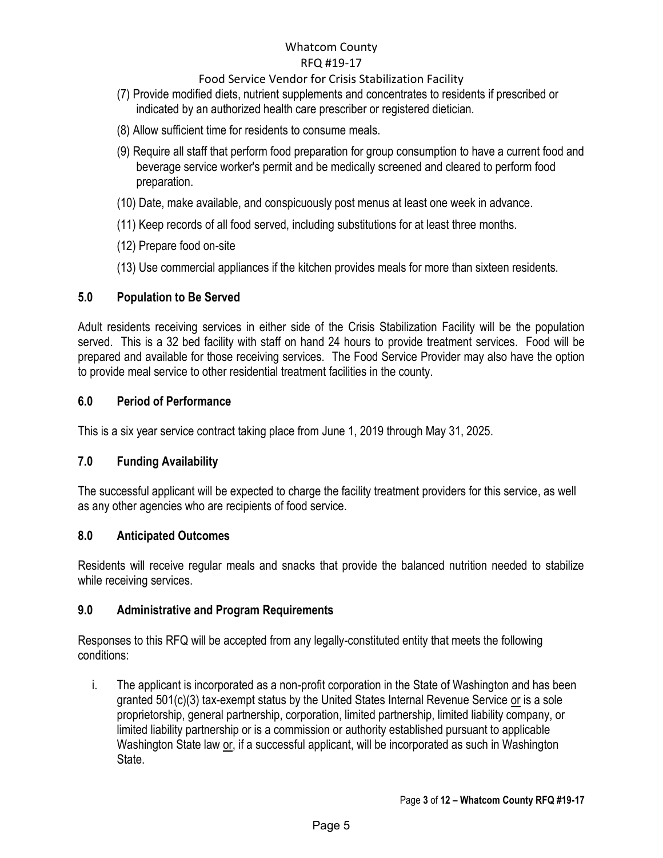### Food Service Vendor for Crisis Stabilization Facility

- (7) Provide modified diets, nutrient supplements and concentrates to residents if prescribed or indicated by an authorized health care prescriber or registered dietician.
- (8) Allow sufficient time for residents to consume meals.
- (9) Require all staff that perform food preparation for group consumption to have a current food and beverage service worker's permit and be medically screened and cleared to perform food preparation.
- (10) Date, make available, and conspicuously post menus at least one week in advance.
- (11) Keep records of all food served, including substitutions for at least three months.
- (12) Prepare food on-site
- (13) Use commercial appliances if the kitchen provides meals for more than sixteen residents.

### <span id="page-4-0"></span>**5.0 Population to Be Served**

Adult residents receiving services in either side of the Crisis Stabilization Facility will be the population served. This is a 32 bed facility with staff on hand 24 hours to provide treatment services. Food will be prepared and available for those receiving services. The Food Service Provider may also have the option to provide meal service to other residential treatment facilities in the county.

### <span id="page-4-1"></span>**6.0 Period of Performance**

This is a six year service contract taking place from June 1, 2019 through May 31, 2025.

### <span id="page-4-2"></span>**7.0 Funding Availability**

The successful applicant will be expected to charge the facility treatment providers for this service, as well as any other agencies who are recipients of food service.

### <span id="page-4-3"></span>**8.0 Anticipated Outcomes**

Residents will receive regular meals and snacks that provide the balanced nutrition needed to stabilize while receiving services.

### <span id="page-4-4"></span>**9.0 Administrative and Program Requirements**

Responses to this RFQ will be accepted from any legally-constituted entity that meets the following conditions:

i. The applicant is incorporated as a non-profit corporation in the State of Washington and has been granted  $501(c)(3)$  tax-exempt status by the United States Internal Revenue Service or is a sole proprietorship, general partnership, corporation, limited partnership, limited liability company, or limited liability partnership or is a commission or authority established pursuant to applicable Washington State law or, if a successful applicant, will be incorporated as such in Washington State.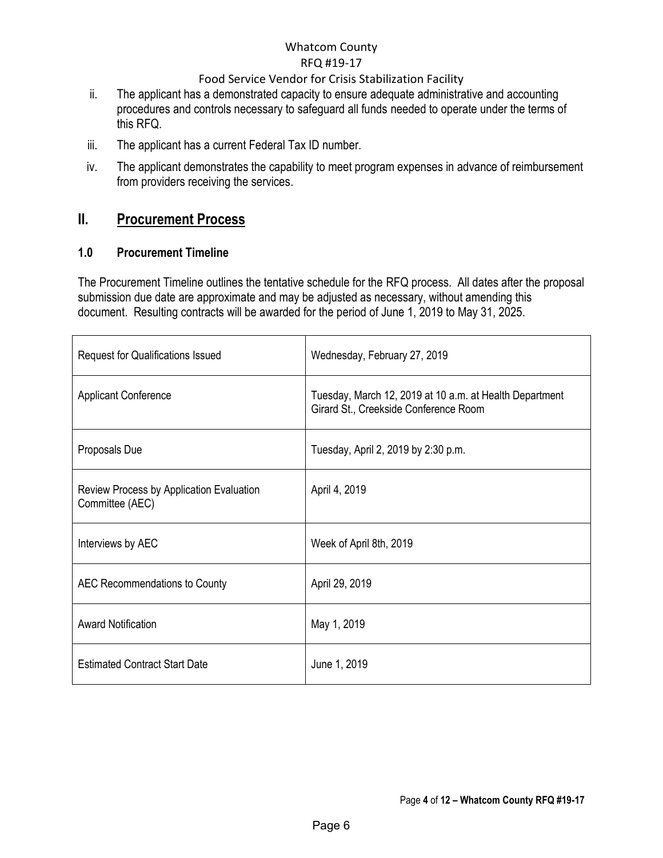### Food Service Vendor for Crisis Stabilization Facility

- ii. The applicant has a demonstrated capacity to ensure adequate administrative and accounting procedures and controls necessary to safeguard all funds needed to operate under the terms of this RFQ.
- iii. The applicant has a current Federal Tax ID number.
- iv. The applicant demonstrates the capability to meet program expenses in advance of reimbursement from providers receiving the services.

## <span id="page-5-0"></span>**II. Procurement Process**

### <span id="page-5-1"></span>**1.0 Procurement Timeline**

The Procurement Timeline outlines the tentative schedule for the RFQ process. All dates after the proposal submission due date are approximate and may be adjusted as necessary, without amending this document. Resulting contracts will be awarded for the period of June 1, 2019 to May 31, 2025.

| <b>Request for Qualifications Issued</b>                    | Wednesday, February 27, 2019                                                                     |
|-------------------------------------------------------------|--------------------------------------------------------------------------------------------------|
| <b>Applicant Conference</b>                                 | Tuesday, March 12, 2019 at 10 a.m. at Health Department<br>Girard St., Creekside Conference Room |
| Proposals Due                                               | Tuesday, April 2, 2019 by 2:30 p.m.                                                              |
| Review Process by Application Evaluation<br>Committee (AEC) | April 4, 2019                                                                                    |
| Interviews by AEC                                           | Week of April 8th, 2019                                                                          |
| AEC Recommendations to County                               | April 29, 2019                                                                                   |
| <b>Award Notification</b>                                   | May 1, 2019                                                                                      |
| <b>Estimated Contract Start Date</b>                        | June 1, 2019                                                                                     |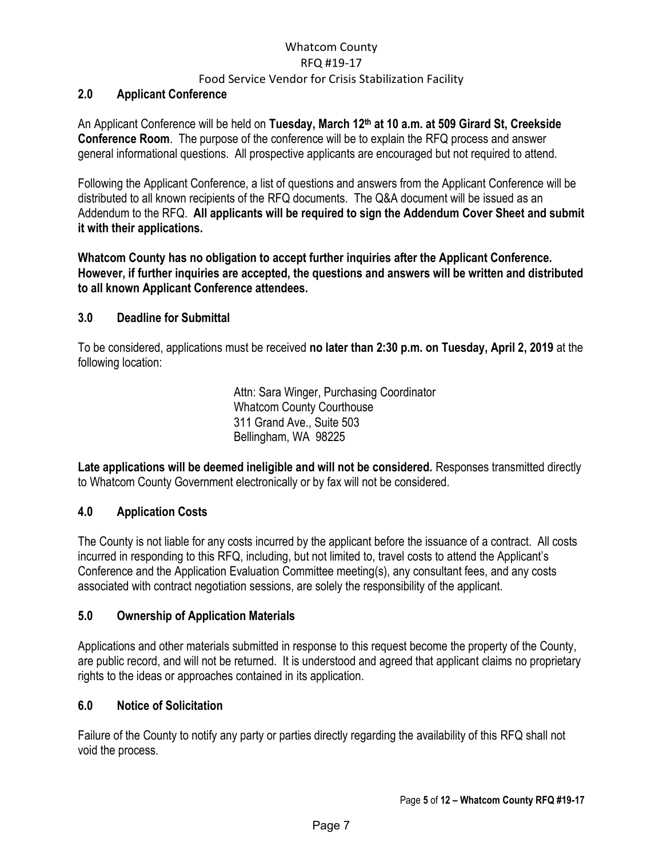#### <span id="page-6-0"></span>**2.0 Applicant Conference**

An Applicant Conference will be held on **Tuesday, March 12th at 10 a.m. at 509 Girard St, Creekside Conference Room**. The purpose of the conference will be to explain the RFQ process and answer general informational questions. All prospective applicants are encouraged but not required to attend.

Following the Applicant Conference, a list of questions and answers from the Applicant Conference will be distributed to all known recipients of the RFQ documents. The Q&A document will be issued as an Addendum to the RFQ. **All applicants will be required to sign the Addendum Cover Sheet and submit it with their applications.**

**Whatcom County has no obligation to accept further inquiries after the Applicant Conference. However, if further inquiries are accepted, the questions and answers will be written and distributed to all known Applicant Conference attendees.** 

#### <span id="page-6-1"></span>**3.0 Deadline for Submittal**

To be considered, applications must be received **no later than 2:30 p.m. on Tuesday, April 2, 2019** at the following location:

> Attn: Sara Winger, Purchasing Coordinator Whatcom County Courthouse 311 Grand Ave., Suite 503 Bellingham, WA 98225

Late applications will be deemed ineligible and will not be considered. Responses transmitted directly to Whatcom County Government electronically or by fax will not be considered.

### <span id="page-6-2"></span>**4.0 Application Costs**

The County is not liable for any costs incurred by the applicant before the issuance of a contract. All costs incurred in responding to this RFQ, including, but not limited to, travel costs to attend the Applicant's Conference and the Application Evaluation Committee meeting(s), any consultant fees, and any costs associated with contract negotiation sessions, are solely the responsibility of the applicant.

### <span id="page-6-3"></span>**5.0 Ownership of Application Materials**

Applications and other materials submitted in response to this request become the property of the County, are public record, and will not be returned. It is understood and agreed that applicant claims no proprietary rights to the ideas or approaches contained in its application.

### <span id="page-6-4"></span>**6.0 Notice of Solicitation**

Failure of the County to notify any party or parties directly regarding the availability of this RFQ shall not void the process.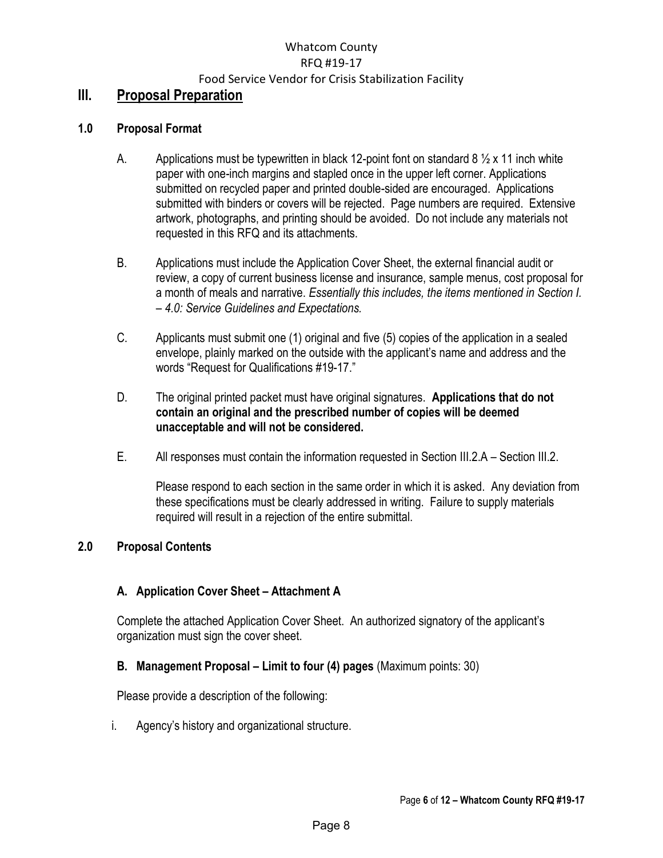### <span id="page-7-0"></span>**III. Proposal Preparation**

### <span id="page-7-1"></span>**1.0 Proposal Format**

- A. Applications must be typewritten in black 12-point font on standard 8  $\frac{1}{2}$  x 11 inch white paper with one-inch margins and stapled once in the upper left corner. Applications submitted on recycled paper and printed double-sided are encouraged. Applications submitted with binders or covers will be rejected. Page numbers are required. Extensive artwork, photographs, and printing should be avoided. Do not include any materials not requested in this RFQ and its attachments.
- B. Applications must include the Application Cover Sheet, the external financial audit or review, a copy of current business license and insurance, sample menus, cost proposal for a month of meals and narrative. *Essentially this includes, the items mentioned in Section I. – 4.0: Service Guidelines and Expectations.*
- C. Applicants must submit one (1) original and five (5) copies of the application in a sealed envelope, plainly marked on the outside with the applicant's name and address and the words "Request for Qualifications #19-17."
- D. The original printed packet must have original signatures. **Applications that do not contain an original and the prescribed number of copies will be deemed unacceptable and will not be considered.**
- E. All responses must contain the information requested in Section III.2.A Section III.2.

Please respond to each section in the same order in which it is asked. Any deviation from these specifications must be clearly addressed in writing. Failure to supply materials required will result in a rejection of the entire submittal.

### <span id="page-7-2"></span>**2.0 Proposal Contents**

### <span id="page-7-3"></span>**A. Application Cover Sheet – Attachment A**

Complete the attached Application Cover Sheet. An authorized signatory of the applicant's organization must sign the cover sheet.

### <span id="page-7-4"></span>**B.** Management Proposal – Limit to four (4) pages (Maximum points: 30)

Please provide a description of the following:

i. Agency's history and organizational structure.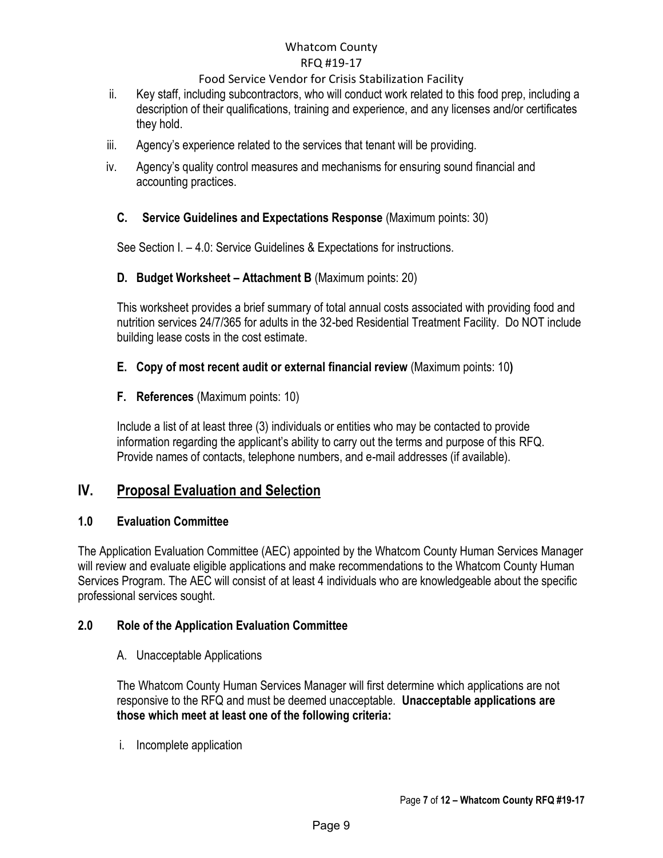### Food Service Vendor for Crisis Stabilization Facility

- ii. Key staff, including subcontractors, who will conduct work related to this food prep, including a description of their qualifications, training and experience, and any licenses and/or certificates they hold.
- iii. Agency's experience related to the services that tenant will be providing.
- iv. Agency's quality control measures and mechanisms for ensuring sound financial and accounting practices.

### <span id="page-8-0"></span>**C. Service Guidelines and Expectations Response** (Maximum points: 30)

See Section I. – 4.0: Service Guidelines & Expectations for instructions.

### <span id="page-8-1"></span>**D. Budget Worksheet – Attachment B** (Maximum points: 20)

This worksheet provides a brief summary of total annual costs associated with providing food and nutrition services 24/7/365 for adults in the 32-bed Residential Treatment Facility. Do NOT include building lease costs in the cost estimate.

### <span id="page-8-2"></span>**E. Copy of most recent audit or external financial review** (Maximum points: 10**)**

### <span id="page-8-3"></span>**F. References** (Maximum points: 10)

Include a list of at least three (3) individuals or entities who may be contacted to provide information regarding the applicant's ability to carry out the terms and purpose of this RFQ. Provide names of contacts, telephone numbers, and e-mail addresses (if available).

## <span id="page-8-4"></span>**IV. Proposal Evaluation and Selection**

### <span id="page-8-5"></span>**1.0 Evaluation Committee**

The Application Evaluation Committee (AEC) appointed by the Whatcom County Human Services Manager will review and evaluate eligible applications and make recommendations to the Whatcom County Human Services Program. The AEC will consist of at least 4 individuals who are knowledgeable about the specific professional services sought.

### <span id="page-8-6"></span>**2.0 Role of the Application Evaluation Committee**

A. Unacceptable Applications

The Whatcom County Human Services Manager will first determine which applications are not responsive to the RFQ and must be deemed unacceptable. **Unacceptable applications are those which meet at least one of the following criteria:** 

i. Incomplete application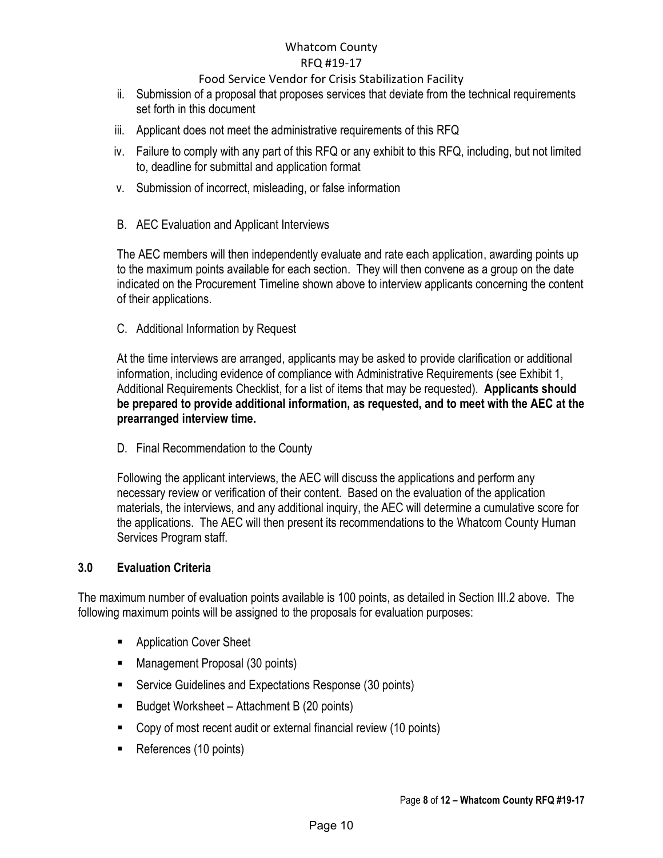### Food Service Vendor for Crisis Stabilization Facility

- ii. Submission of a proposal that proposes services that deviate from the technical requirements set forth in this document
- iii. Applicant does not meet the administrative requirements of this RFQ
- iv. Failure to comply with any part of this RFQ or any exhibit to this RFQ, including, but not limited to, deadline for submittal and application format
- v. Submission of incorrect, misleading, or false information
- B. AEC Evaluation and Applicant Interviews

The AEC members will then independently evaluate and rate each application, awarding points up to the maximum points available for each section. They will then convene as a group on the date indicated on the Procurement Timeline shown above to interview applicants concerning the content of their applications.

C. Additional Information by Request

At the time interviews are arranged, applicants may be asked to provide clarification or additional information, including evidence of compliance with Administrative Requirements (see Exhibit 1, Additional Requirements Checklist, for a list of items that may be requested). **Applicants should be prepared to provide additional information, as requested, and to meet with the AEC at the prearranged interview time.** 

D. Final Recommendation to the County

Following the applicant interviews, the AEC will discuss the applications and perform any necessary review or verification of their content. Based on the evaluation of the application materials, the interviews, and any additional inquiry, the AEC will determine a cumulative score for the applications. The AEC will then present its recommendations to the Whatcom County Human Services Program staff.

### <span id="page-9-0"></span>**3.0 Evaluation Criteria**

The maximum number of evaluation points available is 100 points, as detailed in Section III.2 above. The following maximum points will be assigned to the proposals for evaluation purposes:

- **Application Cover Sheet**
- Management Proposal (30 points)
- **Service Guidelines and Expectations Response (30 points)**
- Budget Worksheet Attachment B (20 points)
- Copy of most recent audit or external financial review (10 points)
- References (10 points)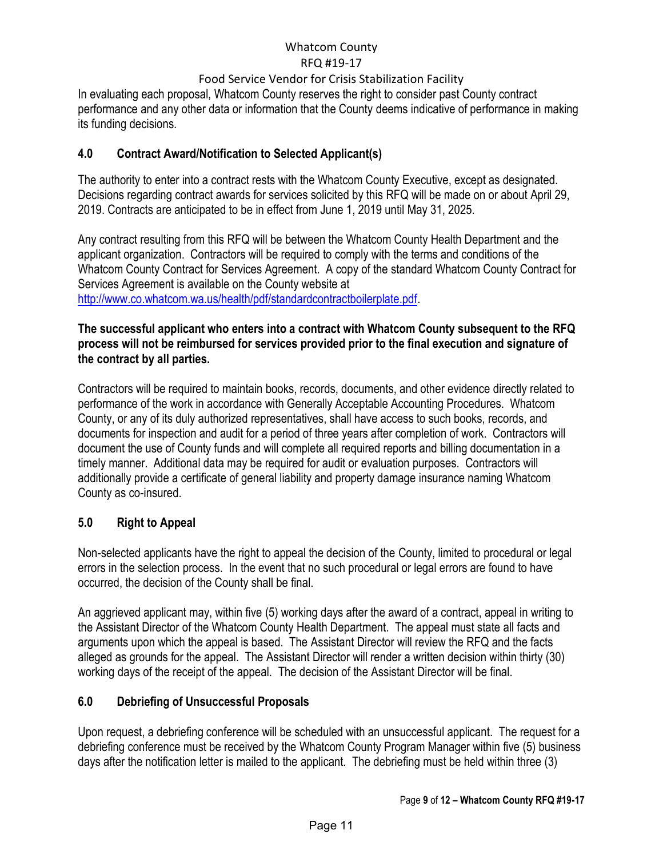### Food Service Vendor for Crisis Stabilization Facility

In evaluating each proposal, Whatcom County reserves the right to consider past County contract performance and any other data or information that the County deems indicative of performance in making its funding decisions.

### <span id="page-10-0"></span>**4.0 Contract Award/Notification to Selected Applicant(s)**

The authority to enter into a contract rests with the Whatcom County Executive, except as designated. Decisions regarding contract awards for services solicited by this RFQ will be made on or about April 29, 2019. Contracts are anticipated to be in effect from June 1, 2019 until May 31, 2025.

Any contract resulting from this RFQ will be between the Whatcom County Health Department and the applicant organization. Contractors will be required to comply with the terms and conditions of the Whatcom County Contract for Services Agreement. A copy of the standard Whatcom County Contract for Services Agreement is available on the County website at

[http://www.co.whatcom.wa.us/health/pdf/standardcontractboilerplate.pdf.](http://www.co.whatcom.wa.us/health/pdf/standardcontractboilerplate.pdf)

### **The successful applicant who enters into a contract with Whatcom County subsequent to the RFQ process will not be reimbursed for services provided prior to the final execution and signature of the contract by all parties.**

Contractors will be required to maintain books, records, documents, and other evidence directly related to performance of the work in accordance with Generally Acceptable Accounting Procedures. Whatcom County, or any of its duly authorized representatives, shall have access to such books, records, and documents for inspection and audit for a period of three years after completion of work. Contractors will document the use of County funds and will complete all required reports and billing documentation in a timely manner. Additional data may be required for audit or evaluation purposes. Contractors will additionally provide a certificate of general liability and property damage insurance naming Whatcom County as co-insured.

### <span id="page-10-1"></span>**5.0 Right to Appeal**

Non-selected applicants have the right to appeal the decision of the County, limited to procedural or legal errors in the selection process. In the event that no such procedural or legal errors are found to have occurred, the decision of the County shall be final.

An aggrieved applicant may, within five (5) working days after the award of a contract, appeal in writing to the Assistant Director of the Whatcom County Health Department. The appeal must state all facts and arguments upon which the appeal is based. The Assistant Director will review the RFQ and the facts alleged as grounds for the appeal. The Assistant Director will render a written decision within thirty (30) working days of the receipt of the appeal. The decision of the Assistant Director will be final.

### <span id="page-10-2"></span>**6.0 Debriefing of Unsuccessful Proposals**

Upon request, a debriefing conference will be scheduled with an unsuccessful applicant. The request for a debriefing conference must be received by the Whatcom County Program Manager within five (5) business days after the notification letter is mailed to the applicant. The debriefing must be held within three (3)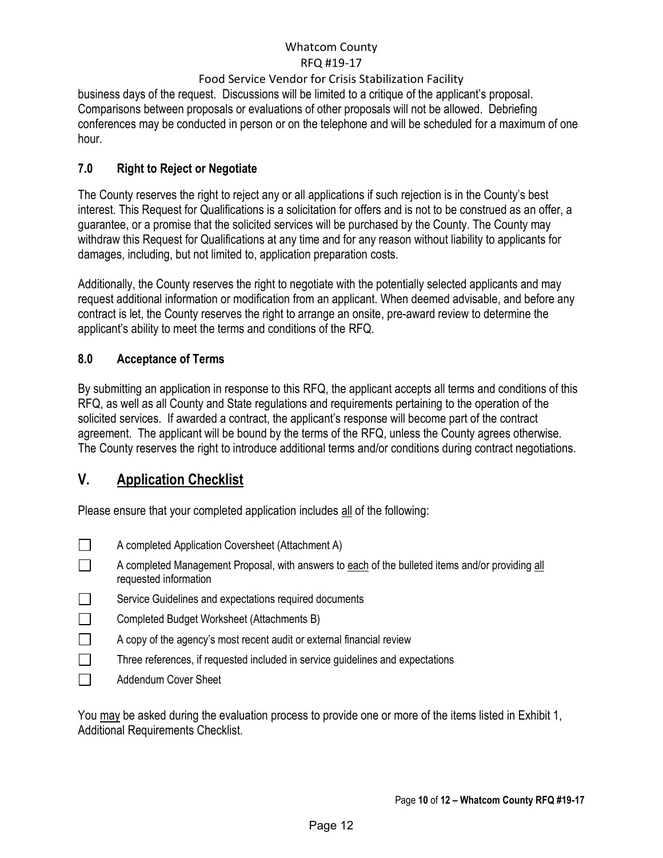### Food Service Vendor for Crisis Stabilization Facility

business days of the request. Discussions will be limited to a critique of the applicant's proposal. Comparisons between proposals or evaluations of other proposals will not be allowed. Debriefing conferences may be conducted in person or on the telephone and will be scheduled for a maximum of one hour.

### <span id="page-11-0"></span>**7.0 Right to Reject or Negotiate**

The County reserves the right to reject any or all applications if such rejection is in the County's best interest. This Request for Qualifications is a solicitation for offers and is not to be construed as an offer, a guarantee, or a promise that the solicited services will be purchased by the County. The County may withdraw this Request for Qualifications at any time and for any reason without liability to applicants for damages, including, but not limited to, application preparation costs.

Additionally, the County reserves the right to negotiate with the potentially selected applicants and may request additional information or modification from an applicant. When deemed advisable, and before any contract is let, the County reserves the right to arrange an onsite, pre-award review to determine the applicant's ability to meet the terms and conditions of the RFQ.

### <span id="page-11-1"></span>**8.0 Acceptance of Terms**

By submitting an application in response to this RFQ, the applicant accepts all terms and conditions of this RFQ, as well as all County and State regulations and requirements pertaining to the operation of the solicited services. If awarded a contract, the applicant's response will become part of the contract agreement. The applicant will be bound by the terms of the RFQ, unless the County agrees otherwise. The County reserves the right to introduce additional terms and/or conditions during contract negotiations.

## <span id="page-11-2"></span>**V. Application Checklist**

Please ensure that your completed application includes all of the following:

- $\Box$ A completed Application Coversheet (Attachment A)
- $\Box$ A completed Management Proposal, with answers to each of the bulleted items and/or providing all requested information
- Service Guidelines and expectations required documents  $\Box$
- $\Box$ Completed Budget Worksheet (Attachments B)
- $\Box$ A copy of the agency's most recent audit or external financial review
- $\Box$ Three references, if requested included in service guidelines and expectations
- $\Box$ Addendum Cover Sheet

You may be asked during the evaluation process to provide one or more of the items listed in Exhibit 1, Additional Requirements Checklist.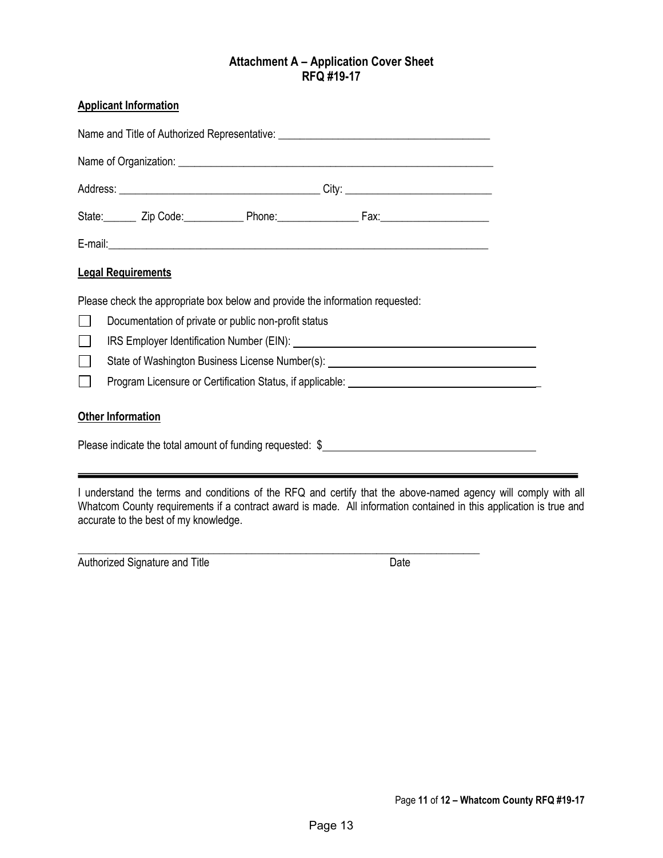### **Attachment A – Application Cover Sheet RFQ #19-17**

#### <span id="page-12-0"></span>**Applicant Information**

| Name and Title of Authorized Representative: ___________________________________                                                                                                                                                                     |  |  |  |  |  |
|------------------------------------------------------------------------------------------------------------------------------------------------------------------------------------------------------------------------------------------------------|--|--|--|--|--|
|                                                                                                                                                                                                                                                      |  |  |  |  |  |
|                                                                                                                                                                                                                                                      |  |  |  |  |  |
| State: _______ Zip Code: ______________ Phone: _____________________ Fax: _________________________                                                                                                                                                  |  |  |  |  |  |
|                                                                                                                                                                                                                                                      |  |  |  |  |  |
| <b>Legal Requirements</b>                                                                                                                                                                                                                            |  |  |  |  |  |
| Please check the appropriate box below and provide the information requested:<br>Documentation of private or public non-profit status<br>State of Washington Business License Number(s): National Contract of Washington Business License Number(s): |  |  |  |  |  |
|                                                                                                                                                                                                                                                      |  |  |  |  |  |
| <b>Other Information</b>                                                                                                                                                                                                                             |  |  |  |  |  |
| Please indicate the total amount of funding requested: \$                                                                                                                                                                                            |  |  |  |  |  |

I understand the terms and conditions of the RFQ and certify that the above-named agency will comply with all Whatcom County requirements if a contract award is made. All information contained in this application is true and accurate to the best of my knowledge.

\_\_\_\_\_\_\_\_\_\_\_\_\_\_\_\_\_\_\_\_\_\_\_\_\_\_\_\_\_\_\_\_\_\_\_\_\_\_\_\_\_\_\_\_\_\_\_\_\_\_\_\_\_\_\_\_\_\_\_\_\_\_\_\_\_\_\_\_\_\_\_\_\_\_

Authorized Signature and Title **Date** Date